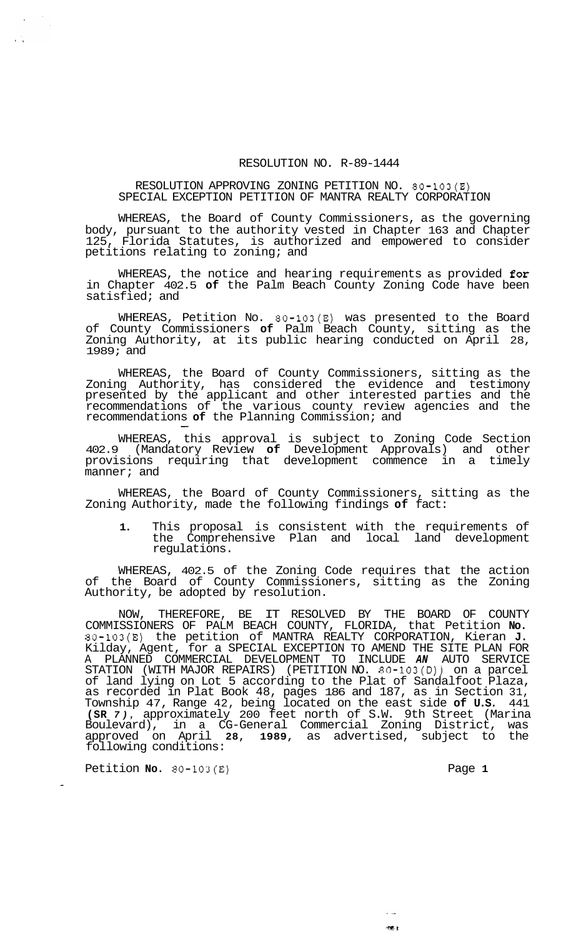## RESOLUTION NO. R-89-1444

## RESOLUTION APPROVING ZONING PETITION NO. 80-103(E) SPECIAL EXCEPTION PETITION OF MANTRA REALTY CORPORATION

WHEREAS, the Board of County Commissioners, as the governing body, pursuant to the authority vested in Chapter 163 and Chapter 125, Florida Statutes, is authorized and empowered to consider petitions relating to zoning; and

WHEREAS, the notice and hearing requirements as provided for in Chapter 402.5 **of** the Palm Beach County Zoning Code have been satisfied; and

WHEREAS, Petition No. 80-103(E) was presented to the Board of County Commissioners **of** Palm Beach County, sitting as the Zoning Authority, at its public hearing conducted on April 28, 1989; and

WHEREAS, the Board of County Commissioners, sitting as the Zoning Authority, has considered the evidence and testimony presented by the applicant and other interested parties and the recommendations of the various county review agencies and the recommendations **of** the Planning Commission; and -

WHEREAS, this approval is subject to Zoning Code Section 402.9 (Mandatory Review **of** Development Approvals) and other provisions requiring that development commence in a timely manner; and

WHEREAS, the Board of County Commissioners, sitting as the Zoning Authority, made the following findings **of** fact:

**1.** This proposal is consistent with the requirements of the Comprehensive Plan and local land development regulations.

WHEREAS, 402.5 of the Zoning Code requires that the action of the Board of County Commissioners, sitting as the Zoning Authority, be adopted by resolution.

NOW, THEREFORE, BE IT RESOLVED BY THE BOARD OF COUNTY COMMISSIONERS OF PALM BEACH COUNTY, FLORIDA, that Petition **No.**  80-103(E) the petition of MANTRA REALTY CORPORATION, Kieran **J.**  Kilday, Agent, for a SPECIAL EXCEPTION TO AMEND THE SITE PLAN FOR A PLANNED COMMERCIAL DEVELOPMENT TO INCLUDE *AN* AUTO SERVICE STATION (WITH MAJOR REPAIRS) (PETITION NO. 80-103(D)) on a parcel of land lying on Lot 5 according to the Plat of Sandalfoot Plaza, as recorded in Plat Book 48, pages 186 and 187, as in Section 31, Township 47, Range 42, being located on the east side **of U.S.** 441 **(SR** *7),* approximately 200 feet north of S.W. 9th Street (Marina Boulevard), in a CG-General Commercial Zoning District, was approved on April **28, 1989,** as advertised, subject to the following conditions:

Petition **No. 80-103(E)** Page **1** 

is C

ng, p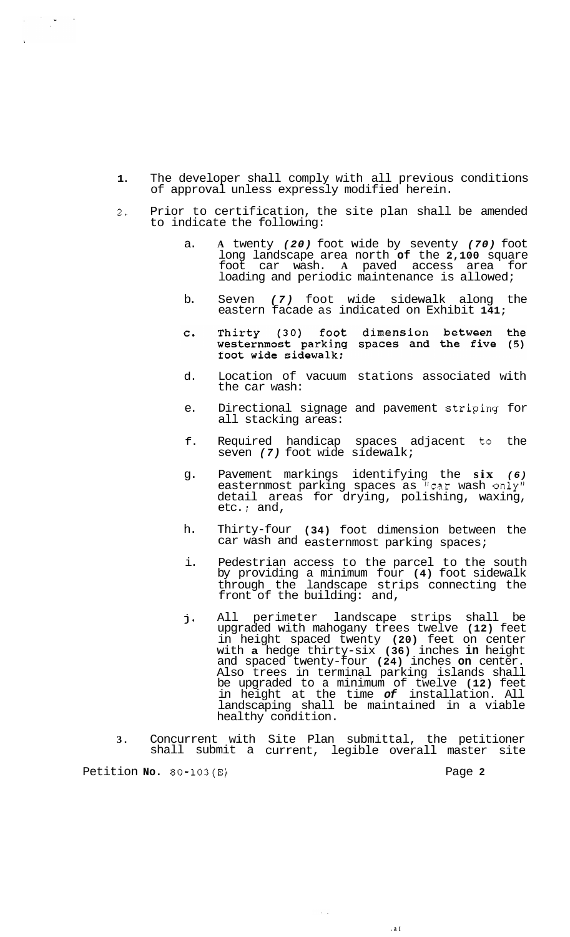- **1.** The developer shall comply with all previous conditions of approval unless expressly modified herein.
- *2,* Prior to certification, the site plan shall be amended to indicate the following:
	- a. **A** twenty *(20)* foot wide by seventy *(70)* foot long landscape area north **of** the **2,100** square foot car wash. **A** paved access area for loading and periodic maintenance is allowed;
	- b. Seven *(7)* foot wide sidewalk along the eastern facade as indicated on Exhibit **141;**
	- Thirty (30) foot dimension between the<br>westernmost parking spaces and the five (5)<br>foot wide sidewalk;  $\mathbf{C}$ .
	- d. Location of vacuum stations associated with the car wash:
	- e. Directional signage and pavement Striping for all stacking areas:
	- f. Required handicap spaces adjacent to the seven *(7)* foot wide sidewalk;
	- g. Pavement markings identifying the **six** *(6)*  easternmost parking spaces as "car wash only" detail areas for drying, polishing, waxing, etc. ; and,
	- h. Thirty-four **(34)** foot dimension between the car wash and easternmost parking spaces;
	- i. Pedestrian access to the parcel to the south by providing a minimum four **(4)** foot sidewalk through the landscape strips connecting the front of the building: and,
	- All perimeter landscape strips shall be j. upgraded with mahogany trees twelve **(12)** feet in height spaced twenty **(20)** feet on center with **a** hedge thirty-six **(36)** inches **in** height and spaced twenty-four **(24)** inches **on** center. Also trees in terminal parking islands shall be upgraded to a minimum of twelve **(12)** feet in height at the time *of* installation. All landscaping shall be maintained in a viable healthy condition.

**.a I** 

**3.** Concurrent with Site Plan submittal, the petitioner shall submit a current, legible overall master site

 $\ddotsc$ 

Petition **No. 80-103(E)** Page **2** 

 $\label{eq:2} \mathcal{L} = \frac{1}{2} \sum_{i=1}^n \frac{1}{2} \sum_{j=1}^n \frac{1}{2} \sum_{j=1}^n \frac{1}{2} \sum_{j=1}^n \frac{1}{2} \sum_{j=1}^n \frac{1}{2} \sum_{j=1}^n \frac{1}{2} \sum_{j=1}^n \frac{1}{2} \sum_{j=1}^n \frac{1}{2} \sum_{j=1}^n \frac{1}{2} \sum_{j=1}^n \frac{1}{2} \sum_{j=1}^n \frac{1}{2} \sum_{j=1}^n \frac{1}{2} \sum_{j=1}$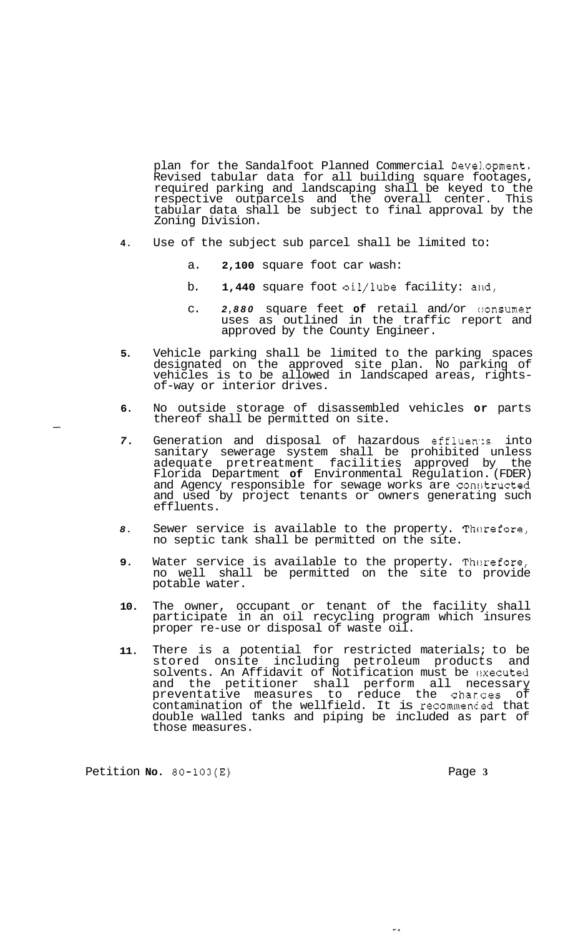plan for the Sandalfoot Planned Commercial Devel.opment. Revised tabular data for all building square footages, required parking and landscaping shall be keyed to the respective outparcels and the overall center. This tabular data shall be subject to final approval by the Zoning Division.

- **4.** Use of the subject sub parcel shall be limited to:
	- a. **2,100** square foot car wash:
	- b. **1,440** square foot oil/lube facility: and,
	- c. *2,880* square feet **of** retail and/or c:onsumer uses as outlined in the traffic report and approved by the County Engineer.
- **5.** Vehicle parking shall be limited to the parking spaces designated on the approved site plan. No parking of vehicles is to be allowed in landscaped areas, rights- of-way or interior drives.
- **6.** No outside storage of disassembled vehicles **or** parts thereof shall be permitted on site.
- 7. Generation and disposal of hazardous effluents into sanitary sewerage system shall be prohibited unless adequate pretreatment facilities approved by the Florida Department **of** Environmental Regulation. (FDER) and Agency responsible for sewage works are constructed and used by project tenants or owners generating such effluents.
- 8. Sewer service is available to the property. Therefore, no septic tank shall be permitted on the site.
- **9.** Water service is available to the property. Therefore, no well shall be permitted on the site to provide potable water.
- **10.** The owner, occupant or tenant of the facility shall participate in an oil recycling program which insures proper re-use or disposal of waste oil.
- **11.** There is a potential for restricted materials; to be stored onsite including petroleum products and solvents. An Affidavit of Notification must be cxecuted and the petitioner shall perform all necessary preventative measures to reduce the charces of contamination of the wellfield. It is recommenc.ed that double walled tanks and piping be included as part of those measures.

Petition **No. 80-103(E)** Page **3** 

 $\overline{\mathbf{z}}$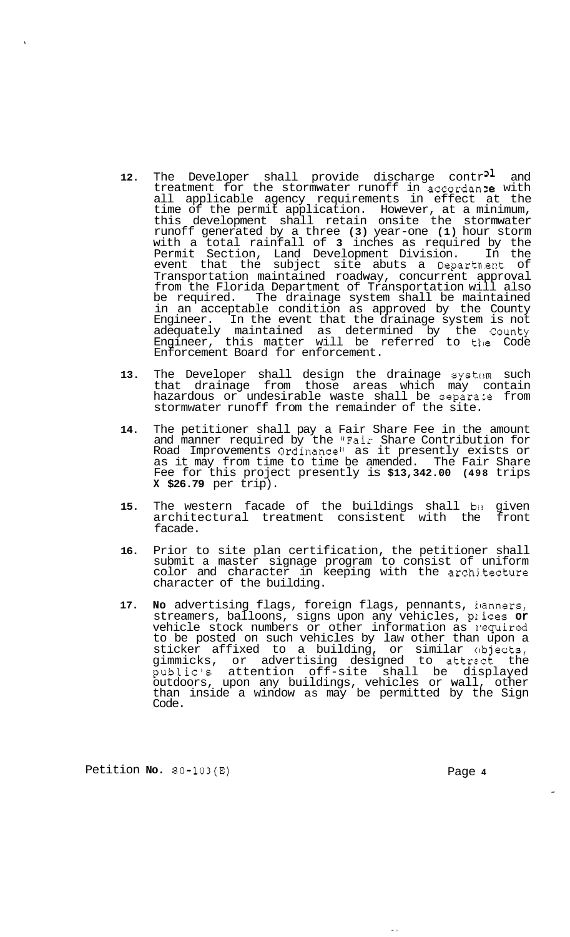- 12. The Developer shall provide discharge contr<sup>21</sup> and treatment for the stormwater runoff in accordan ie with all applicable agency requirements in effect at the time of the permit application. However, at a minimum, this development shall retain onsite the stormwater runoff generated by a three **(3)** year-one **(1)** hour storm with a total rainfall of **3** inches as required by the Permit Section, Land Development Division. In the event that the subject site abuts a Departn.ent of Transportation maintained roadway, concurrent approval from the Florida Department of Transportation will also be required. The drainage system shall be maintained in an acceptable condition as approved by the County Engineer. In the event that the drainage system is not adequately maintained as determined by the County Engineer, this matter will be referred to tile Code Enforcement Board for enforcement.
- 13. The Developer shall design the drainage system such that drainage from those areas which may contain hazardous or undesirable waste shall be separace from stormwater runoff from the remainder of the site.
- **14.** The petitioner shall pay a Fair Share Fee in the amount and manner required by the "Fair Share Contribution for Road Improvements Ordinance" as it presently exists or as it may from time to time be amended. The Fair Share Fee for this project presently is **\$13,342.00 (498** trips **X \$26.79** per trip).
- **15.** The western facade of the buildings shall be given<br>architectural treatment consistent with the front architectural treatment consistent with the facade.
- **16.** Prior to site plan certification, the petitioner shall submit a master signage program to consist of uniform color and character in keeping with the archj.tecture character of the building.
- **17. No** advertising flags, foreign flags, pennants, klanners, streamers, balloons, signs upon any vehicles, pr.ices **or**  vehicle stock numbers or other information as required to be posted on such vehicles by law other than upon a sticker affixed to a building, or similar clbjects, gimmicks, or advertising designed to attrect the public's attention off-site shall be displayed outdoors, upon any buildings, vehicles or wall, other than inside a window as may be permitted by the Sign Code.

Petition **No. 80-103(E)** Page **4**